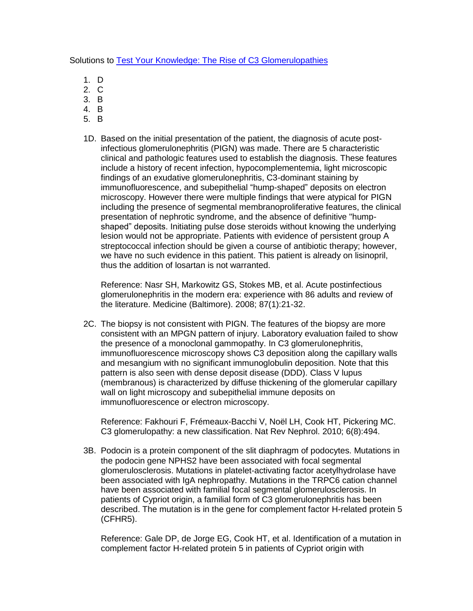Solutions to [Test Your Knowledge: The Rise of C3 Glomerulopathies](http://wp.me/p1IgOp-px)

- 1. D
- 2. C
- 3. B
- 4. B
- 5. B
- 1D. Based on the initial presentation of the patient, the diagnosis of acute postinfectious glomerulonephritis (PIGN) was made. There are 5 characteristic clinical and pathologic features used to establish the diagnosis. These features include a history of recent infection, hypocomplementemia, light microscopic findings of an exudative glomerulonephritis, C3-dominant staining by immunofluorescence, and subepithelial "hump-shaped" deposits on electron microscopy. However there were multiple findings that were atypical for PIGN including the presence of segmental membranoproliferative features, the clinical presentation of nephrotic syndrome, and the absence of definitive "humpshaped" deposits. Initiating pulse dose steroids without knowing the underlying lesion would not be appropriate. Patients with evidence of persistent group A streptococcal infection should be given a course of antibiotic therapy; however, we have no such evidence in this patient. This patient is already on lisinopril, thus the addition of losartan is not warranted.

Reference: Nasr SH, Markowitz GS, Stokes MB, et al. Acute postinfectious glomerulonephritis in the modern era: experience with 86 adults and review of the literature. Medicine (Baltimore). 2008; 87(1):21-32.

2C. The biopsy is not consistent with PIGN. The features of the biopsy are more consistent with an MPGN pattern of injury. Laboratory evaluation failed to show the presence of a monoclonal gammopathy. In C3 glomerulonephritis, immunofluorescence microscopy shows C3 deposition along the capillary walls and mesangium with no significant immunoglobulin deposition. Note that this pattern is also seen with dense deposit disease (DDD). Class V lupus (membranous) is characterized by diffuse thickening of the glomerular capillary wall on light microscopy and subepithelial immune deposits on immunofluorescence or electron microscopy.

Reference: Fakhouri F, Frémeaux-Bacchi V, Noël LH, Cook HT, Pickering MC. C3 glomerulopathy: a new classification. Nat Rev Nephrol. 2010; 6(8):494.

3B. Podocin is a protein component of the slit diaphragm of podocytes. Mutations in the podocin gene NPHS2 have been associated with focal segmental glomerulosclerosis. Mutations in platelet-activating factor acetylhydrolase have been associated with IgA nephropathy. Mutations in the TRPC6 cation channel have been associated with familial focal segmental glomerulosclerosis. In patients of Cypriot origin, a familial form of C3 glomerulonephritis has been described. The mutation is in the gene for complement factor H-related protein 5 (CFHR5).

Reference: Gale DP, de Jorge EG, Cook HT, et al. Identification of a mutation in complement factor H-related protein 5 in patients of Cypriot origin with